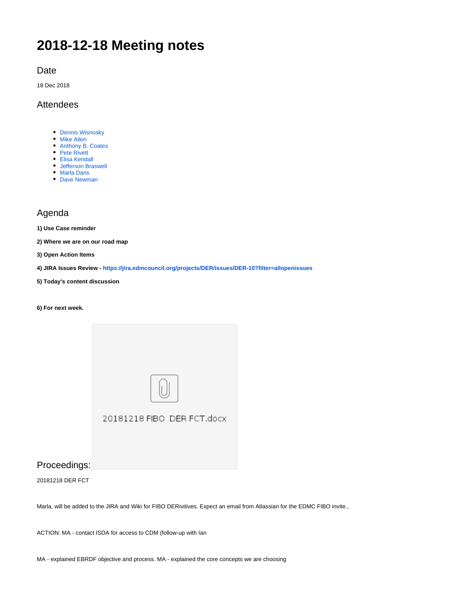# **2018-12-18 Meeting notes**

Date

18 Dec 2018

## Attendees

- [Dennis Wisnosky](https://wiki.edmcouncil.org/display/~DennisWisnosky)
- [Mike Atkin](https://wiki.edmcouncil.org/display/~atkin)
- [Anthony B. Coates](https://wiki.edmcouncil.org/display/~abcoates)
- [Pete Rivett](https://wiki.edmcouncil.org/display/~rivettp)
- [Elisa Kendall](https://wiki.edmcouncil.org/display/~ElisaKendall)
- [Jefferson Braswell](https://wiki.edmcouncil.org/display/~ljb) [Marla Dans](https://wiki.edmcouncil.org/display/~dans)
- [Dave Newman](https://wiki.edmcouncil.org/display/~dsnewman)

## Agenda

**1) Use Case reminder**

**2) Where we are on our road map** 

**3) Open Action Items**

**4) JIRA Issues Review - <https://jira.edmcouncil.org/projects/DER/issues/DER-10?filter=allopenissues>**

**5) Today's content discussion**

**6) For next week.**

| 20181218 FIBO DER FCT.docx |
|----------------------------|
|                            |

Proceedings:

20181218 DER FCT

Marla, will be added to the JIRA and Wiki for FIBO DERivitives. Expect an email from Atlassian for the EDMC FIBO invite.,

ACTION: MA - contact ISDA for access to CDM (follow-up with Ian

MA - explained EBRDF objective and process. MA - explained the core concepts we are choosing